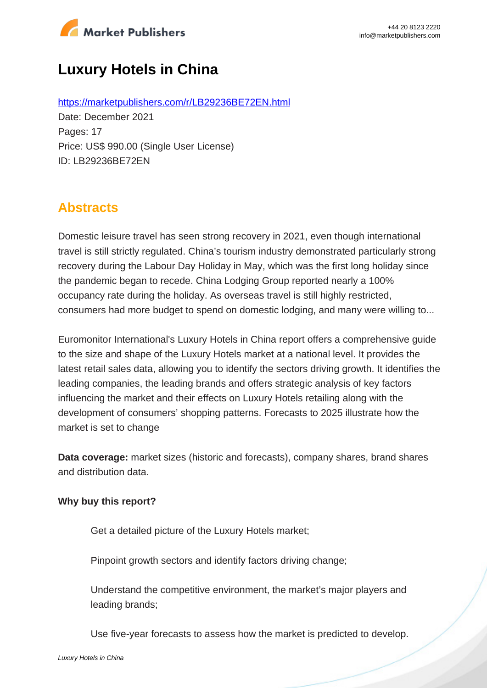

# **Luxury Hotels in China**

https://marketpublishers.com/r/LB29236BE72EN.html Date: December 2021 Pages: 17 Price: US\$ 990.00 (Single User License) ID: LB29236BE72EN

## **Abstracts**

Domestic leisure travel has seen strong recovery in 2021, even though international travel is still strictly regulated. China's tourism industry demonstrated particularly strong recovery during the Labour Day Holiday in May, which was the first long holiday since the pandemic began to recede. China Lodging Group reported nearly a 100% occupancy rate during the holiday. As overseas travel is still highly restricted, consumers had more budget to spend on domestic lodging, and many were willing to...

Euromonitor International's Luxury Hotels in China report offers a comprehensive guide to the size and shape of the Luxury Hotels market at a national level. It provides the latest retail sales data, allowing you to identify the sectors driving growth. It identifies the leading companies, the leading brands and offers strategic analysis of key factors influencing the market and their effects on Luxury Hotels retailing along with the development of consumers' shopping patterns. Forecasts to 2025 illustrate how the market is set to change

**Data coverage:** market sizes (historic and forecasts), company shares, brand shares and distribution data.

#### **Why buy this report?**

Get a detailed picture of the Luxury Hotels market;

Pinpoint growth sectors and identify factors driving change;

Understand the competitive environment, the market's major players and leading brands;

Use five-year forecasts to assess how the market is predicted to develop.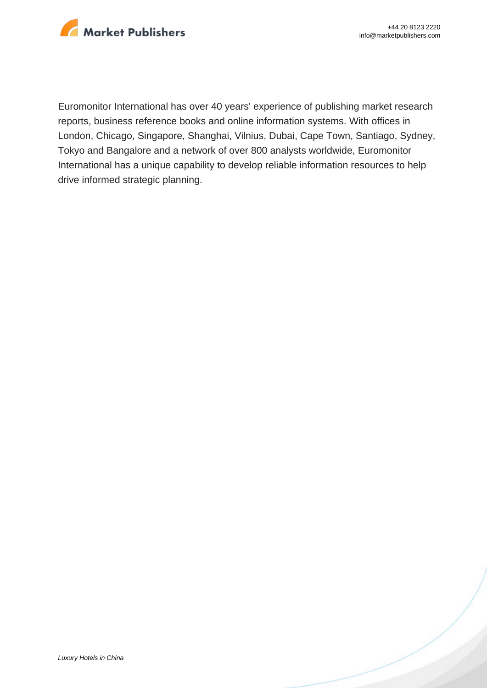

Euromonitor International has over 40 years' experience of publishing market research reports, business reference books and online information systems. With offices in London, Chicago, Singapore, Shanghai, Vilnius, Dubai, Cape Town, Santiago, Sydney, Tokyo and Bangalore and a network of over 800 analysts worldwide, Euromonitor International has a unique capability to develop reliable information resources to help drive informed strategic planning.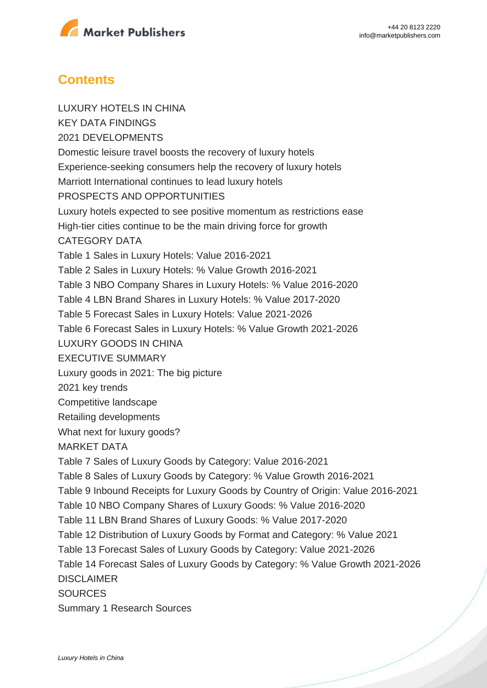

### **Contents**

LUXURY HOTELS IN CHINA KEY DATA FINDINGS 2021 DEVELOPMENTS Domestic leisure travel boosts the recovery of luxury hotels Experience-seeking consumers help the recovery of luxury hotels Marriott International continues to lead luxury hotels PROSPECTS AND OPPORTUNITIES Luxury hotels expected to see positive momentum as restrictions ease High-tier cities continue to be the main driving force for growth CATEGORY DATA Table 1 Sales in Luxury Hotels: Value 2016-2021 Table 2 Sales in Luxury Hotels: % Value Growth 2016-2021 Table 3 NBO Company Shares in Luxury Hotels: % Value 2016-2020 Table 4 LBN Brand Shares in Luxury Hotels: % Value 2017-2020 Table 5 Forecast Sales in Luxury Hotels: Value 2021-2026 Table 6 Forecast Sales in Luxury Hotels: % Value Growth 2021-2026 LUXURY GOODS IN CHINA EXECUTIVE SUMMARY Luxury goods in 2021: The big picture 2021 key trends Competitive landscape Retailing developments What next for luxury goods? MARKET DATA Table 7 Sales of Luxury Goods by Category: Value 2016-2021 Table 8 Sales of Luxury Goods by Category: % Value Growth 2016-2021 Table 9 Inbound Receipts for Luxury Goods by Country of Origin: Value 2016-2021 Table 10 NBO Company Shares of Luxury Goods: % Value 2016-2020 Table 11 LBN Brand Shares of Luxury Goods: % Value 2017-2020 Table 12 Distribution of Luxury Goods by Format and Category: % Value 2021 Table 13 Forecast Sales of Luxury Goods by Category: Value 2021-2026 Table 14 Forecast Sales of Luxury Goods by Category: % Value Growth 2021-2026 DISCLAIMER **SOURCES** Summary 1 Research Sources